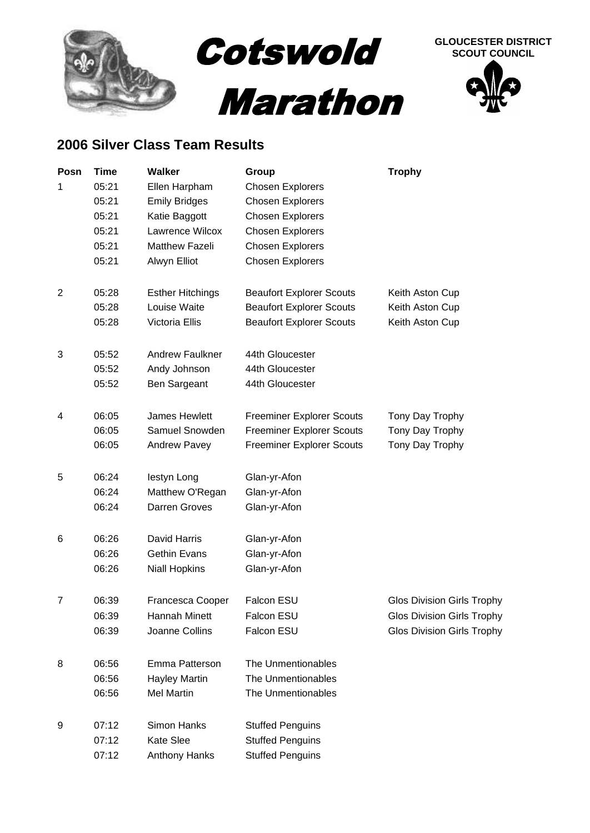

## **2006 Silver Class Team Results**

| Posn | <b>Time</b> | <b>Walker</b>           | Group                            | <b>Trophy</b>                     |
|------|-------------|-------------------------|----------------------------------|-----------------------------------|
| 1    | 05:21       | Ellen Harpham           | <b>Chosen Explorers</b>          |                                   |
|      | 05:21       | <b>Emily Bridges</b>    | <b>Chosen Explorers</b>          |                                   |
|      | 05:21       | Katie Baggott           | <b>Chosen Explorers</b>          |                                   |
|      | 05:21       | Lawrence Wilcox         | <b>Chosen Explorers</b>          |                                   |
|      | 05:21       | <b>Matthew Fazeli</b>   | Chosen Explorers                 |                                   |
|      | 05:21       | Alwyn Elliot            | <b>Chosen Explorers</b>          |                                   |
| 2    | 05:28       | <b>Esther Hitchings</b> | <b>Beaufort Explorer Scouts</b>  | Keith Aston Cup                   |
|      | 05:28       | Louise Waite            | <b>Beaufort Explorer Scouts</b>  | Keith Aston Cup                   |
|      | 05:28       | Victoria Ellis          | <b>Beaufort Explorer Scouts</b>  | Keith Aston Cup                   |
| 3    | 05:52       | <b>Andrew Faulkner</b>  | 44th Gloucester                  |                                   |
|      | 05:52       | Andy Johnson            | 44th Gloucester                  |                                   |
|      | 05:52       | Ben Sargeant            | 44th Gloucester                  |                                   |
| 4    | 06:05       | James Hewlett           | <b>Freeminer Explorer Scouts</b> | Tony Day Trophy                   |
|      | 06:05       | Samuel Snowden          | <b>Freeminer Explorer Scouts</b> | Tony Day Trophy                   |
|      | 06:05       | Andrew Pavey            | <b>Freeminer Explorer Scouts</b> | Tony Day Trophy                   |
| 5    | 06:24       | lestyn Long             | Glan-yr-Afon                     |                                   |
|      | 06:24       | Matthew O'Regan         | Glan-yr-Afon                     |                                   |
|      | 06:24       | Darren Groves           | Glan-yr-Afon                     |                                   |
| 6    | 06:26       | David Harris            | Glan-yr-Afon                     |                                   |
|      | 06:26       | <b>Gethin Evans</b>     | Glan-yr-Afon                     |                                   |
|      | 06:26       | <b>Niall Hopkins</b>    | Glan-yr-Afon                     |                                   |
| 7    | 06:39       | Francesca Cooper        | Falcon ESU                       | <b>Glos Division Girls Trophy</b> |
|      | 06:39       | Hannah Minett           | Falcon ESU                       | <b>Glos Division Girls Trophy</b> |
|      | 06:39       | Joanne Collins          | Falcon ESU                       | <b>Glos Division Girls Trophy</b> |
| 8    | 06:56       | Emma Patterson          | The Unmentionables               |                                   |
|      | 06:56       | <b>Hayley Martin</b>    | The Unmentionables               |                                   |
|      | 06:56       | <b>Mel Martin</b>       | The Unmentionables               |                                   |
| 9    | 07:12       | Simon Hanks             | <b>Stuffed Penguins</b>          |                                   |
|      | 07:12       | <b>Kate Slee</b>        | <b>Stuffed Penguins</b>          |                                   |
|      | 07:12       | Anthony Hanks           | <b>Stuffed Penguins</b>          |                                   |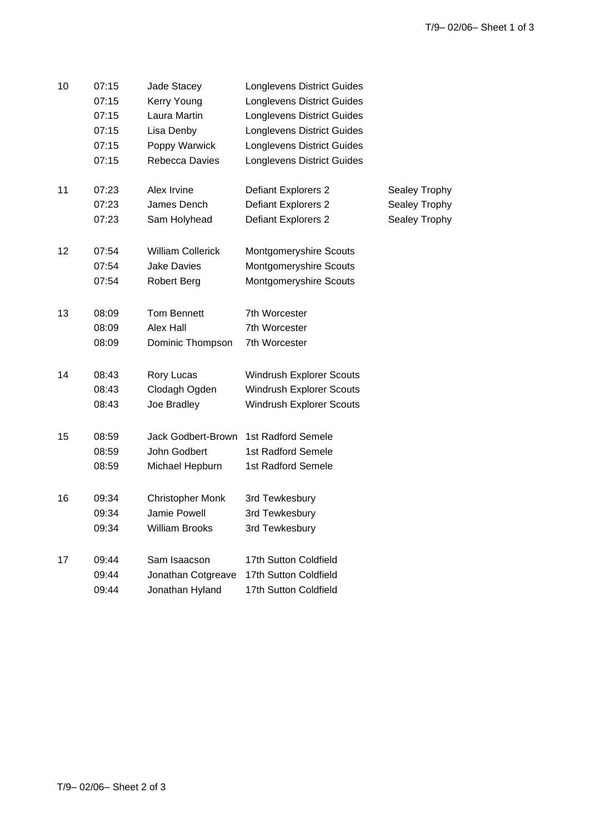| 10 | 07:15 | Jade Stacey              | <b>Longlevens District Guides</b> |               |
|----|-------|--------------------------|-----------------------------------|---------------|
|    | 07:15 | Kerry Young              | <b>Longlevens District Guides</b> |               |
|    | 07:15 | Laura Martin             | <b>Longlevens District Guides</b> |               |
|    | 07:15 | Lisa Denby               | <b>Longlevens District Guides</b> |               |
|    | 07:15 | Poppy Warwick            | <b>Longlevens District Guides</b> |               |
|    | 07:15 | Rebecca Davies           | <b>Longlevens District Guides</b> |               |
| 11 | 07:23 | Alex Irvine              | Defiant Explorers 2               | Sealey Trophy |
|    | 07:23 | James Dench              | Defiant Explorers 2               | Sealey Trophy |
|    | 07:23 | Sam Holyhead             | Defiant Explorers 2               | Sealey Trophy |
| 12 | 07:54 | <b>William Collerick</b> | Montgomeryshire Scouts            |               |
|    | 07:54 | <b>Jake Davies</b>       | Montgomeryshire Scouts            |               |
|    | 07:54 | <b>Robert Berg</b>       | Montgomeryshire Scouts            |               |
| 13 | 08:09 | Tom Bennett              | 7th Worcester                     |               |
|    | 08:09 | Alex Hall                | 7th Worcester                     |               |
|    | 08:09 | Dominic Thompson         | 7th Worcester                     |               |
| 14 | 08:43 | Rory Lucas               | <b>Windrush Explorer Scouts</b>   |               |
|    | 08:43 | Clodagh Ogden            | <b>Windrush Explorer Scouts</b>   |               |
|    | 08:43 | Joe Bradley              | Windrush Explorer Scouts          |               |
| 15 | 08:59 | Jack Godbert-Brown       | 1st Radford Semele                |               |
|    | 08:59 | John Godbert             | 1st Radford Semele                |               |
|    | 08:59 | Michael Hepburn          | 1st Radford Semele                |               |
| 16 | 09:34 | <b>Christopher Monk</b>  | 3rd Tewkesbury                    |               |
|    | 09:34 | Jamie Powell             | 3rd Tewkesbury                    |               |
|    | 09:34 | <b>William Brooks</b>    | 3rd Tewkesbury                    |               |
| 17 | 09:44 | Sam Isaacson             | 17th Sutton Coldfield             |               |
|    | 09:44 | Jonathan Cotgreave       | 17th Sutton Coldfield             |               |
|    | 09:44 | Jonathan Hyland          | 17th Sutton Coldfield             |               |
|    |       |                          |                                   |               |